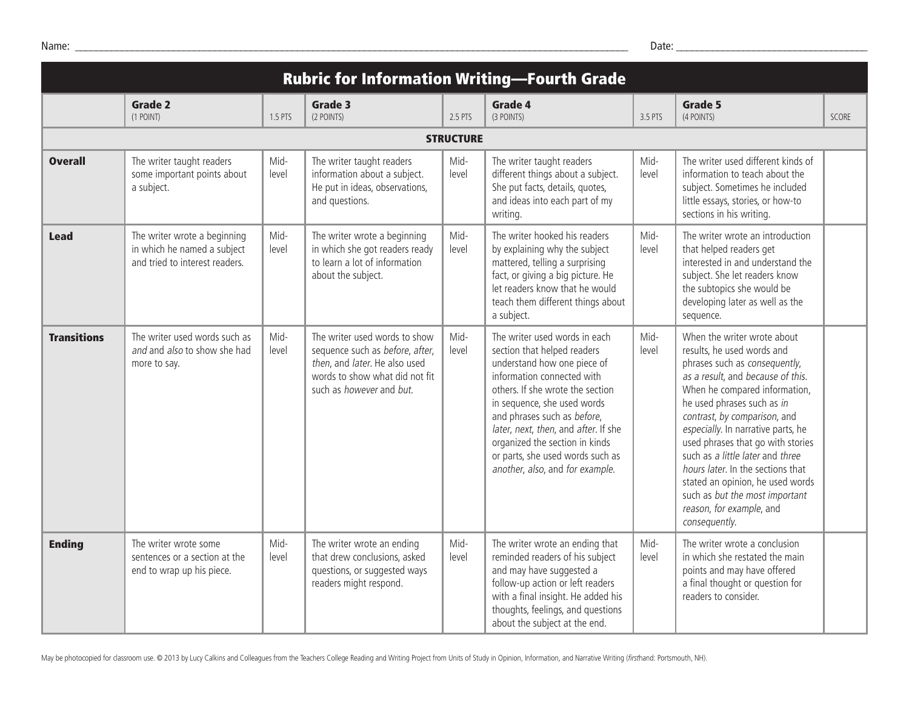| <b>Rubric for Information Writing-Fourth Grade</b> |                                                                                               |               |                                                                                                                                                                        |               |                                                                                                                                                                                                                                                                                                                                                                              |               |                                                                                                                                                                                                                                                                                                                                                                                                                                                                                                       |              |
|----------------------------------------------------|-----------------------------------------------------------------------------------------------|---------------|------------------------------------------------------------------------------------------------------------------------------------------------------------------------|---------------|------------------------------------------------------------------------------------------------------------------------------------------------------------------------------------------------------------------------------------------------------------------------------------------------------------------------------------------------------------------------------|---------------|-------------------------------------------------------------------------------------------------------------------------------------------------------------------------------------------------------------------------------------------------------------------------------------------------------------------------------------------------------------------------------------------------------------------------------------------------------------------------------------------------------|--------------|
|                                                    | Grade 2<br>(1 POINT)                                                                          | 1.5 PTS       | Grade 3<br>(2 POINTS)                                                                                                                                                  | 2.5 PTS       | Grade 4<br>(3 POINTS)                                                                                                                                                                                                                                                                                                                                                        | 3.5 PTS       | Grade 5<br>(4 POINTS)                                                                                                                                                                                                                                                                                                                                                                                                                                                                                 | <b>SCORE</b> |
| <b>STRUCTURE</b>                                   |                                                                                               |               |                                                                                                                                                                        |               |                                                                                                                                                                                                                                                                                                                                                                              |               |                                                                                                                                                                                                                                                                                                                                                                                                                                                                                                       |              |
| <b>Overall</b>                                     | The writer taught readers<br>some important points about<br>a subject.                        | Mid-<br>level | The writer taught readers<br>information about a subject.<br>He put in ideas, observations,<br>and questions.                                                          | Mid-<br>level | The writer taught readers<br>different things about a subject.<br>She put facts, details, quotes,<br>and ideas into each part of my<br>writing.                                                                                                                                                                                                                              | Mid-<br>level | The writer used different kinds of<br>information to teach about the<br>subject. Sometimes he included<br>little essays, stories, or how-to<br>sections in his writing.                                                                                                                                                                                                                                                                                                                               |              |
| <b>Lead</b>                                        | The writer wrote a beginning<br>in which he named a subject<br>and tried to interest readers. | Mid-<br>level | The writer wrote a beginning<br>in which she got readers ready<br>to learn a lot of information<br>about the subject.                                                  | Mid-<br>level | The writer hooked his readers<br>by explaining why the subject<br>mattered, telling a surprising<br>fact, or giving a big picture. He<br>let readers know that he would<br>teach them different things about<br>a subject.                                                                                                                                                   | Mid-<br>level | The writer wrote an introduction<br>that helped readers get<br>interested in and understand the<br>subject. She let readers know<br>the subtopics she would be<br>developing later as well as the<br>sequence.                                                                                                                                                                                                                                                                                        |              |
| <b>Transitions</b>                                 | The writer used words such as<br>and and also to show she had<br>more to say.                 | Mid-<br>level | The writer used words to show<br>sequence such as before, after,<br>then, and later. He also used<br>words to show what did not fit<br>such as <i>however</i> and but. | Mid-<br>level | The writer used words in each<br>section that helped readers<br>understand how one piece of<br>information connected with<br>others. If she wrote the section<br>in sequence, she used words<br>and phrases such as before,<br>later, next, then, and after. If she<br>organized the section in kinds<br>or parts, she used words such as<br>another, also, and for example. | Mid-<br>level | When the writer wrote about<br>results, he used words and<br>phrases such as consequently,<br>as a result, and because of this.<br>When he compared information,<br>he used phrases such as in<br>contrast, by comparison, and<br>especially. In narrative parts, he<br>used phrases that go with stories<br>such as a little later and three<br>hours later. In the sections that<br>stated an opinion, he used words<br>such as but the most important<br>reason, for example, and<br>consequently. |              |
| <b>Ending</b>                                      | The writer wrote some<br>sentences or a section at the<br>end to wrap up his piece.           | Mid-<br>level | The writer wrote an ending<br>that drew conclusions, asked<br>questions, or suggested ways<br>readers might respond.                                                   | Mid-<br>level | The writer wrote an ending that<br>reminded readers of his subject<br>and may have suggested a<br>follow-up action or left readers<br>with a final insight. He added his<br>thoughts, feelings, and questions<br>about the subject at the end.                                                                                                                               | Mid-<br>level | The writer wrote a conclusion<br>in which she restated the main<br>points and may have offered<br>a final thought or question for<br>readers to consider.                                                                                                                                                                                                                                                                                                                                             |              |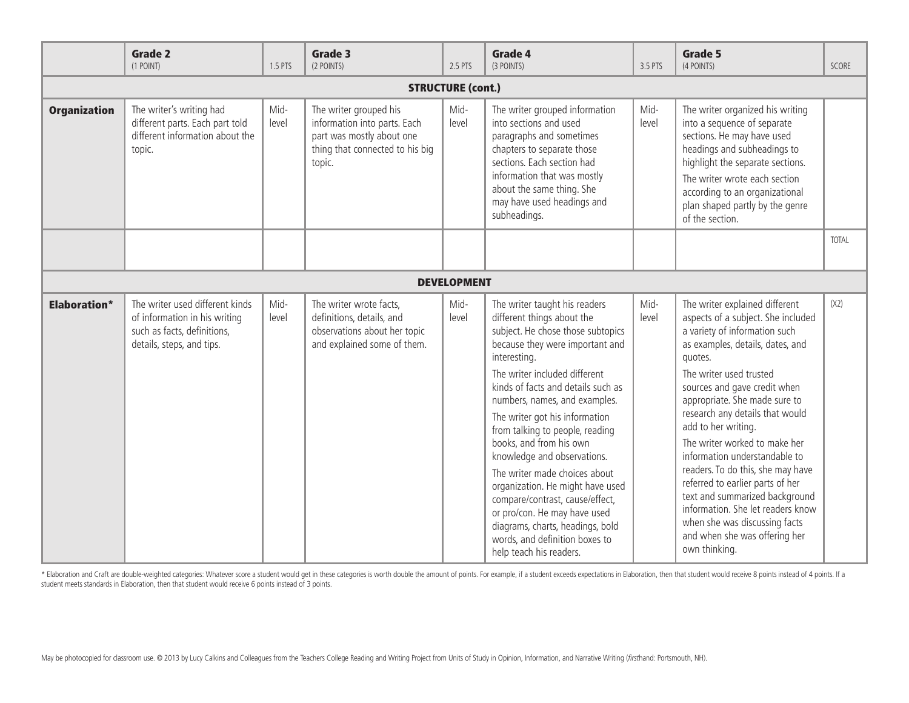|                          | <b>Grade 2</b><br>(1 POINT)                                                                                                  | 1.5 PTS       | Grade 3<br>(2 POINTS)                                                                                                            | 2.5 PTS       | <b>Grade 4</b><br>(3 POINTS)                                                                                                                                                                                                                                                                                                                                                                                                                                                                                                                                                                                                        | 3.5 PTS       | <b>Grade 5</b><br>(4 POINTS)                                                                                                                                                                                                                                                                                                                                                                                                                                                                                                                                                                                    | SCORE        |
|--------------------------|------------------------------------------------------------------------------------------------------------------------------|---------------|----------------------------------------------------------------------------------------------------------------------------------|---------------|-------------------------------------------------------------------------------------------------------------------------------------------------------------------------------------------------------------------------------------------------------------------------------------------------------------------------------------------------------------------------------------------------------------------------------------------------------------------------------------------------------------------------------------------------------------------------------------------------------------------------------------|---------------|-----------------------------------------------------------------------------------------------------------------------------------------------------------------------------------------------------------------------------------------------------------------------------------------------------------------------------------------------------------------------------------------------------------------------------------------------------------------------------------------------------------------------------------------------------------------------------------------------------------------|--------------|
| <b>STRUCTURE (cont.)</b> |                                                                                                                              |               |                                                                                                                                  |               |                                                                                                                                                                                                                                                                                                                                                                                                                                                                                                                                                                                                                                     |               |                                                                                                                                                                                                                                                                                                                                                                                                                                                                                                                                                                                                                 |              |
| <b>Organization</b>      | The writer's writing had<br>different parts. Each part told<br>different information about the<br>topic.                     | Mid-<br>level | The writer grouped his<br>information into parts. Each<br>part was mostly about one<br>thing that connected to his big<br>topic. | Mid-<br>level | The writer grouped information<br>into sections and used<br>paragraphs and sometimes<br>chapters to separate those<br>sections. Each section had<br>information that was mostly<br>about the same thing. She<br>may have used headings and<br>subheadings.                                                                                                                                                                                                                                                                                                                                                                          | Mid-<br>level | The writer organized his writing<br>into a sequence of separate<br>sections. He may have used<br>headings and subheadings to<br>highlight the separate sections.<br>The writer wrote each section<br>according to an organizational<br>plan shaped partly by the genre<br>of the section.                                                                                                                                                                                                                                                                                                                       |              |
|                          |                                                                                                                              |               |                                                                                                                                  |               |                                                                                                                                                                                                                                                                                                                                                                                                                                                                                                                                                                                                                                     |               |                                                                                                                                                                                                                                                                                                                                                                                                                                                                                                                                                                                                                 | <b>TOTAL</b> |
| <b>DEVELOPMENT</b>       |                                                                                                                              |               |                                                                                                                                  |               |                                                                                                                                                                                                                                                                                                                                                                                                                                                                                                                                                                                                                                     |               |                                                                                                                                                                                                                                                                                                                                                                                                                                                                                                                                                                                                                 |              |
| <b>Elaboration*</b>      | The writer used different kinds<br>of information in his writing<br>such as facts, definitions,<br>details, steps, and tips. | Mid-<br>level | The writer wrote facts,<br>definitions, details, and<br>observations about her topic<br>and explained some of them.              | Mid-<br>level | The writer taught his readers<br>different things about the<br>subject. He chose those subtopics<br>because they were important and<br>interesting.<br>The writer included different<br>kinds of facts and details such as<br>numbers, names, and examples.<br>The writer got his information<br>from talking to people, reading<br>books, and from his own<br>knowledge and observations.<br>The writer made choices about<br>organization. He might have used<br>compare/contrast, cause/effect,<br>or pro/con. He may have used<br>diagrams, charts, headings, bold<br>words, and definition boxes to<br>help teach his readers. | Mid-<br>level | The writer explained different<br>aspects of a subject. She included<br>a variety of information such<br>as examples, details, dates, and<br>quotes.<br>The writer used trusted<br>sources and gave credit when<br>appropriate. She made sure to<br>research any details that would<br>add to her writing.<br>The writer worked to make her<br>information understandable to<br>readers. To do this, she may have<br>referred to earlier parts of her<br>text and summarized background<br>information. She let readers know<br>when she was discussing facts<br>and when she was offering her<br>own thinking. | (X2)         |

\* Elaboration and Craft are double-weighted categories: Whatever score a student would get in these categories is worth double the amount of points. For example, if a student exceeds expectations in Elaboration, then that student meets standards in Elaboration, then that student would receive 6 points instead of 3 points.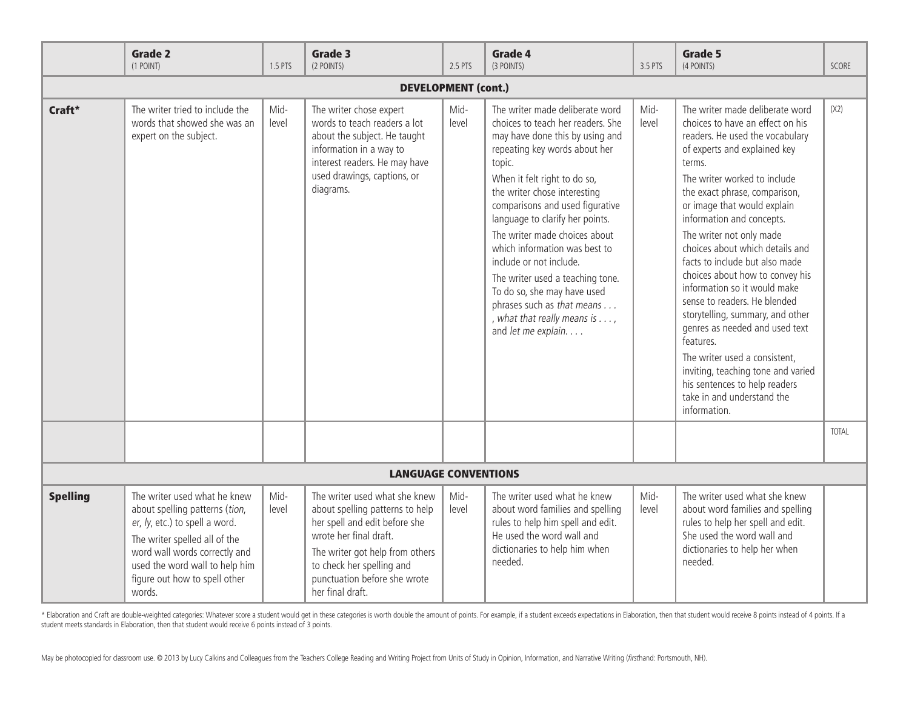|                            | <b>Grade 2</b><br>(1 POINT)                                                                                                                                                                                                                     | 1.5 PTS       | Grade 3<br>(2 POINTS)                                                                                                                                                                                                                           | 2.5 PTS       | Grade 4<br>(3 POINTS)                                                                                                                                                                                                                                                                                                                                                                                                                                                                                                                          | 3.5 PTS       | <b>Grade 5</b><br>(4 POINTS)                                                                                                                                                                                                                                                                                                                                                                                                                                                                                                                                                                                                                                                                                               | <b>SCORE</b> |
|----------------------------|-------------------------------------------------------------------------------------------------------------------------------------------------------------------------------------------------------------------------------------------------|---------------|-------------------------------------------------------------------------------------------------------------------------------------------------------------------------------------------------------------------------------------------------|---------------|------------------------------------------------------------------------------------------------------------------------------------------------------------------------------------------------------------------------------------------------------------------------------------------------------------------------------------------------------------------------------------------------------------------------------------------------------------------------------------------------------------------------------------------------|---------------|----------------------------------------------------------------------------------------------------------------------------------------------------------------------------------------------------------------------------------------------------------------------------------------------------------------------------------------------------------------------------------------------------------------------------------------------------------------------------------------------------------------------------------------------------------------------------------------------------------------------------------------------------------------------------------------------------------------------------|--------------|
| <b>DEVELOPMENT (cont.)</b> |                                                                                                                                                                                                                                                 |               |                                                                                                                                                                                                                                                 |               |                                                                                                                                                                                                                                                                                                                                                                                                                                                                                                                                                |               |                                                                                                                                                                                                                                                                                                                                                                                                                                                                                                                                                                                                                                                                                                                            |              |
| Craft*                     | The writer tried to include the<br>words that showed she was an<br>expert on the subject.                                                                                                                                                       | Mid-<br>level | The writer chose expert<br>words to teach readers a lot<br>about the subject. He taught<br>information in a way to<br>interest readers. He may have<br>used drawings, captions, or<br>diagrams.                                                 | Mid-<br>level | The writer made deliberate word<br>choices to teach her readers. She<br>may have done this by using and<br>repeating key words about her<br>topic.<br>When it felt right to do so,<br>the writer chose interesting<br>comparisons and used figurative<br>language to clarify her points.<br>The writer made choices about<br>which information was best to<br>include or not include.<br>The writer used a teaching tone.<br>To do so, she may have used<br>phrases such as that means<br>, what that really means is ,<br>and let me explain. | Mid-<br>level | The writer made deliberate word<br>choices to have an effect on his<br>readers. He used the vocabulary<br>of experts and explained key<br>terms.<br>The writer worked to include<br>the exact phrase, comparison,<br>or image that would explain<br>information and concepts.<br>The writer not only made<br>choices about which details and<br>facts to include but also made<br>choices about how to convey his<br>information so it would make<br>sense to readers. He blended<br>storytelling, summary, and other<br>genres as needed and used text<br>features.<br>The writer used a consistent,<br>inviting, teaching tone and varied<br>his sentences to help readers<br>take in and understand the<br>information. | (X2)         |
|                            |                                                                                                                                                                                                                                                 |               |                                                                                                                                                                                                                                                 |               |                                                                                                                                                                                                                                                                                                                                                                                                                                                                                                                                                |               |                                                                                                                                                                                                                                                                                                                                                                                                                                                                                                                                                                                                                                                                                                                            | <b>TOTAL</b> |
|                            |                                                                                                                                                                                                                                                 |               | <b>LANGUAGE CONVENTIONS</b>                                                                                                                                                                                                                     |               |                                                                                                                                                                                                                                                                                                                                                                                                                                                                                                                                                |               |                                                                                                                                                                                                                                                                                                                                                                                                                                                                                                                                                                                                                                                                                                                            |              |
| <b>Spelling</b>            | The writer used what he knew<br>about spelling patterns (tion,<br>er, ly, etc.) to spell a word.<br>The writer spelled all of the<br>word wall words correctly and<br>used the word wall to help him<br>figure out how to spell other<br>words. | Mid-<br>level | The writer used what she knew<br>about spelling patterns to help<br>her spell and edit before she<br>wrote her final draft.<br>The writer got help from others<br>to check her spelling and<br>punctuation before she wrote<br>her final draft. | Mid-<br>level | The writer used what he knew<br>about word families and spelling<br>rules to help him spell and edit.<br>He used the word wall and<br>dictionaries to help him when<br>needed.                                                                                                                                                                                                                                                                                                                                                                 | Mid-<br>level | The writer used what she knew<br>about word families and spelling<br>rules to help her spell and edit.<br>She used the word wall and<br>dictionaries to help her when<br>needed.                                                                                                                                                                                                                                                                                                                                                                                                                                                                                                                                           |              |

\* Elaboration and Craft are double-weighted categories: Whatever score a student would get in these categories is worth double the amount of points. For example, if a student exceeds expectations in Elaboration, then that student meets standards in Elaboration, then that student would receive 6 points instead of 3 points.

May be photocopied for classroom use. @ 2013 by Lucy Calkins and Colleagues from the Teachers College Reading and Writing Project from Units of Study in Opinion, Information, and Narrative Writing (firsthand: Portsmouth, N